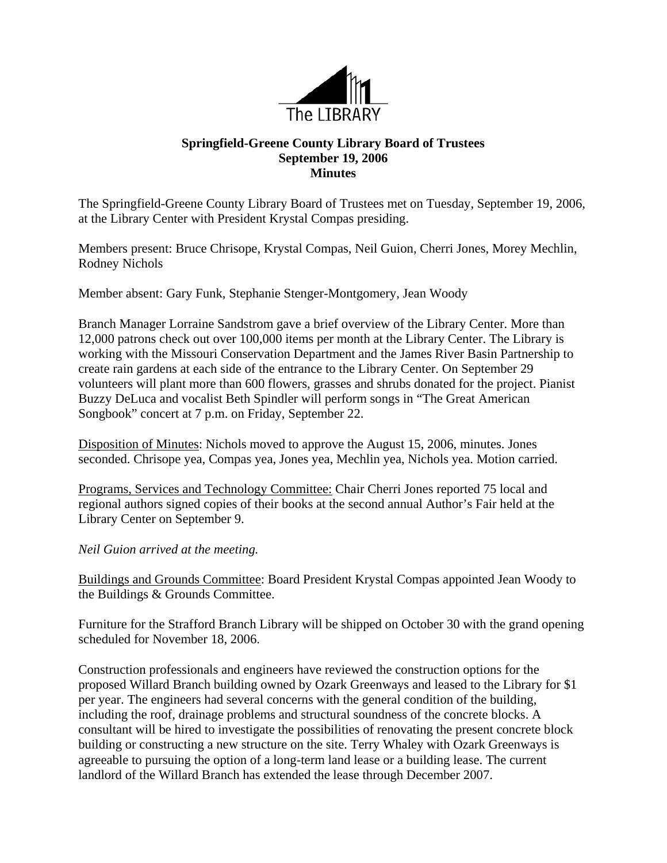

## **Springfield-Greene County Library Board of Trustees September 19, 2006 Minutes**

The Springfield-Greene County Library Board of Trustees met on Tuesday, September 19, 2006, at the Library Center with President Krystal Compas presiding.

Members present: Bruce Chrisope, Krystal Compas, Neil Guion, Cherri Jones, Morey Mechlin, Rodney Nichols

Member absent: Gary Funk, Stephanie Stenger-Montgomery, Jean Woody

Branch Manager Lorraine Sandstrom gave a brief overview of the Library Center. More than 12,000 patrons check out over 100,000 items per month at the Library Center. The Library is working with the Missouri Conservation Department and the James River Basin Partnership to create rain gardens at each side of the entrance to the Library Center. On September 29 volunteers will plant more than 600 flowers, grasses and shrubs donated for the project. Pianist Buzzy DeLuca and vocalist Beth Spindler will perform songs in "The Great American Songbook" concert at 7 p.m. on Friday, September 22.

Disposition of Minutes: Nichols moved to approve the August 15, 2006, minutes. Jones seconded. Chrisope yea, Compas yea, Jones yea, Mechlin yea, Nichols yea. Motion carried.

Programs, Services and Technology Committee: Chair Cherri Jones reported 75 local and regional authors signed copies of their books at the second annual Author's Fair held at the Library Center on September 9.

*Neil Guion arrived at the meeting.* 

Buildings and Grounds Committee: Board President Krystal Compas appointed Jean Woody to the Buildings & Grounds Committee.

Furniture for the Strafford Branch Library will be shipped on October 30 with the grand opening scheduled for November 18, 2006.

Construction professionals and engineers have reviewed the construction options for the proposed Willard Branch building owned by Ozark Greenways and leased to the Library for \$1 per year. The engineers had several concerns with the general condition of the building, including the roof, drainage problems and structural soundness of the concrete blocks. A consultant will be hired to investigate the possibilities of renovating the present concrete block building or constructing a new structure on the site. Terry Whaley with Ozark Greenways is agreeable to pursuing the option of a long-term land lease or a building lease. The current landlord of the Willard Branch has extended the lease through December 2007.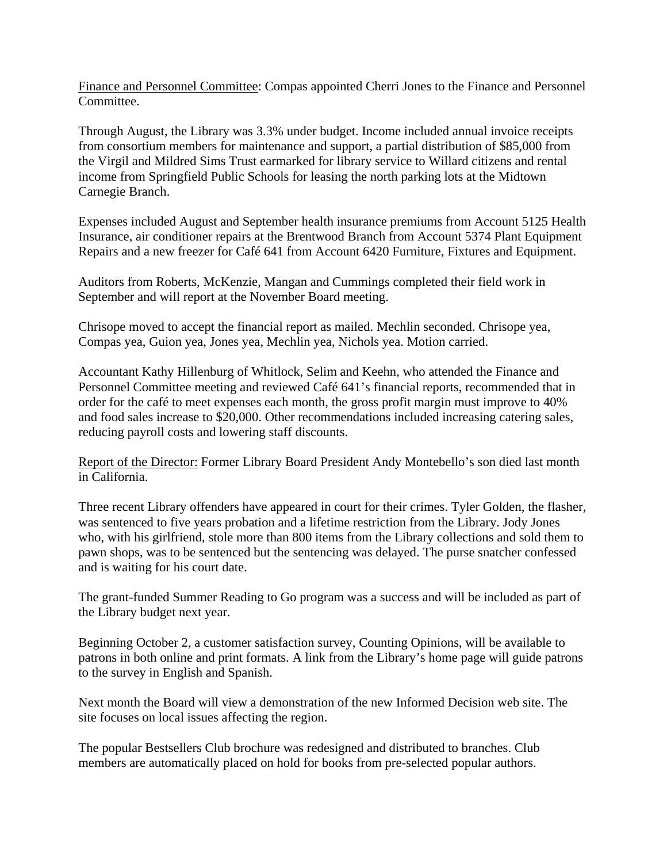Finance and Personnel Committee: Compas appointed Cherri Jones to the Finance and Personnel Committee.

Through August, the Library was 3.3% under budget. Income included annual invoice receipts from consortium members for maintenance and support, a partial distribution of \$85,000 from the Virgil and Mildred Sims Trust earmarked for library service to Willard citizens and rental income from Springfield Public Schools for leasing the north parking lots at the Midtown Carnegie Branch.

Expenses included August and September health insurance premiums from Account 5125 Health Insurance, air conditioner repairs at the Brentwood Branch from Account 5374 Plant Equipment Repairs and a new freezer for Café 641 from Account 6420 Furniture, Fixtures and Equipment.

Auditors from Roberts, McKenzie, Mangan and Cummings completed their field work in September and will report at the November Board meeting.

Chrisope moved to accept the financial report as mailed. Mechlin seconded. Chrisope yea, Compas yea, Guion yea, Jones yea, Mechlin yea, Nichols yea. Motion carried.

Accountant Kathy Hillenburg of Whitlock, Selim and Keehn, who attended the Finance and Personnel Committee meeting and reviewed Café 641's financial reports, recommended that in order for the café to meet expenses each month, the gross profit margin must improve to 40% and food sales increase to \$20,000. Other recommendations included increasing catering sales, reducing payroll costs and lowering staff discounts.

Report of the Director: Former Library Board President Andy Montebello's son died last month in California.

Three recent Library offenders have appeared in court for their crimes. Tyler Golden, the flasher, was sentenced to five years probation and a lifetime restriction from the Library. Jody Jones who, with his girlfriend, stole more than 800 items from the Library collections and sold them to pawn shops, was to be sentenced but the sentencing was delayed. The purse snatcher confessed and is waiting for his court date.

The grant-funded Summer Reading to Go program was a success and will be included as part of the Library budget next year.

Beginning October 2, a customer satisfaction survey, Counting Opinions, will be available to patrons in both online and print formats. A link from the Library's home page will guide patrons to the survey in English and Spanish.

Next month the Board will view a demonstration of the new Informed Decision web site. The site focuses on local issues affecting the region.

The popular Bestsellers Club brochure was redesigned and distributed to branches. Club members are automatically placed on hold for books from pre-selected popular authors.